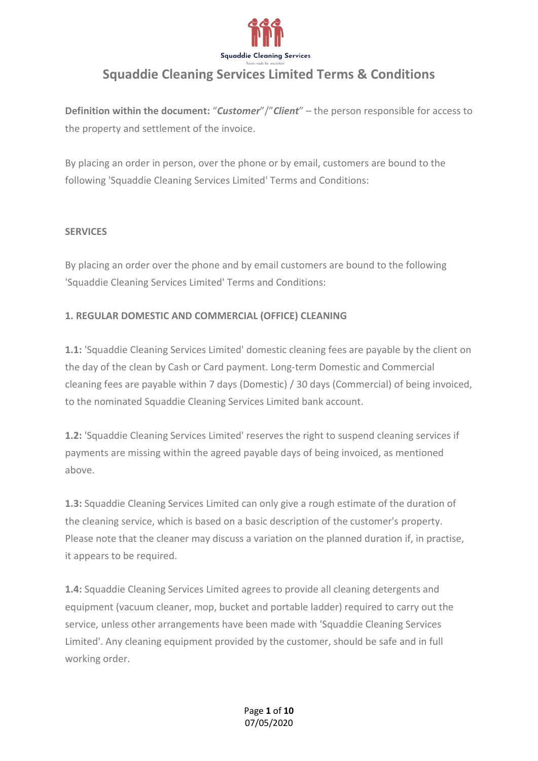

**Definition within the document:** "*Customer*"/"*Client*" – the person responsible for access to the property and settlement of the invoice.

By placing an order in person, over the phone or by email, customers are bound to the following 'Squaddie Cleaning Services Limited' Terms and Conditions:

#### **SERVICES**

By placing an order over the phone and by email customers are bound to the following 'Squaddie Cleaning Services Limited' Terms and Conditions:

### **1. REGULAR DOMESTIC AND COMMERCIAL (OFFICE) CLEANING**

**1.1:** 'Squaddie Cleaning Services Limited' domestic cleaning fees are payable by the client on the day of the clean by Cash or Card payment. Long-term Domestic and Commercial cleaning fees are payable within 7 days (Domestic) / 30 days (Commercial) of being invoiced, to the nominated Squaddie Cleaning Services Limited bank account.

**1.2:** 'Squaddie Cleaning Services Limited' reserves the right to suspend cleaning services if payments are missing within the agreed payable days of being invoiced, as mentioned above.

**1.3:** Squaddie Cleaning Services Limited can only give a rough estimate of the duration of the cleaning service, which is based on a basic description of the customer's property. Please note that the cleaner may discuss a variation on the planned duration if, in practise, it appears to be required.

**1.4:** Squaddie Cleaning Services Limited agrees to provide all cleaning detergents and equipment (vacuum cleaner, mop, bucket and portable ladder) required to carry out the service, unless other arrangements have been made with 'Squaddie Cleaning Services Limited'. Any cleaning equipment provided by the customer, should be safe and in full working order.

> Page **1** of **10** 07/05/2020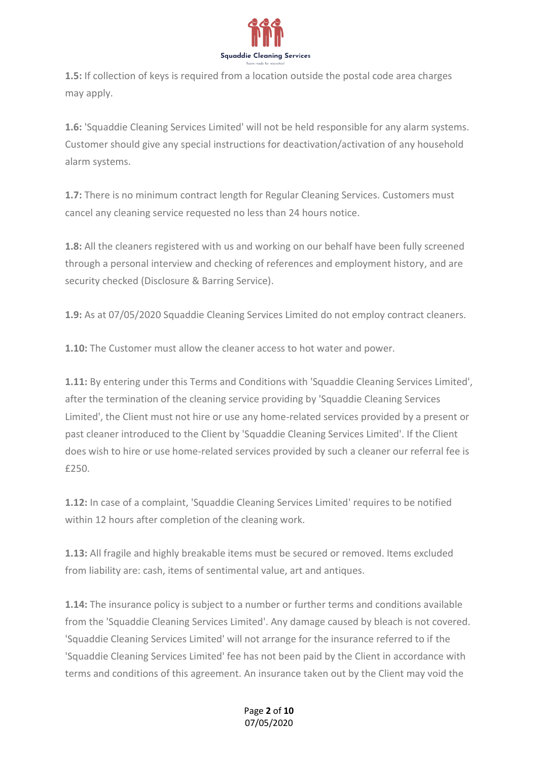

**1.5:** If collection of keys is required from a location outside the postal code area charges may apply.

**1.6:** 'Squaddie Cleaning Services Limited' will not be held responsible for any alarm systems. Customer should give any special instructions for deactivation/activation of any household alarm systems.

**1.7:** There is no minimum contract length for Regular Cleaning Services. Customers must cancel any cleaning service requested no less than 24 hours notice.

**1.8:** All the cleaners registered with us and working on our behalf have been fully screened through a personal interview and checking of references and employment history, and are security checked (Disclosure & Barring Service).

**1.9:** As at 07/05/2020 Squaddie Cleaning Services Limited do not employ contract cleaners.

**1.10:** The Customer must allow the cleaner access to hot water and power.

**1.11:** By entering under this Terms and Conditions with 'Squaddie Cleaning Services Limited', after the termination of the cleaning service providing by 'Squaddie Cleaning Services Limited', the Client must not hire or use any home-related services provided by a present or past cleaner introduced to the Client by 'Squaddie Cleaning Services Limited'. If the Client does wish to hire or use home-related services provided by such a cleaner our referral fee is £250.

**1.12:** In case of a complaint, 'Squaddie Cleaning Services Limited' requires to be notified within 12 hours after completion of the cleaning work.

**1.13:** All fragile and highly breakable items must be secured or removed. Items excluded from liability are: cash, items of sentimental value, art and antiques.

**1.14:** The insurance policy is subject to a number or further terms and conditions available from the 'Squaddie Cleaning Services Limited'. Any damage caused by bleach is not covered. 'Squaddie Cleaning Services Limited' will not arrange for the insurance referred to if the 'Squaddie Cleaning Services Limited' fee has not been paid by the Client in accordance with terms and conditions of this agreement. An insurance taken out by the Client may void the

#### Page **2** of **10** 07/05/2020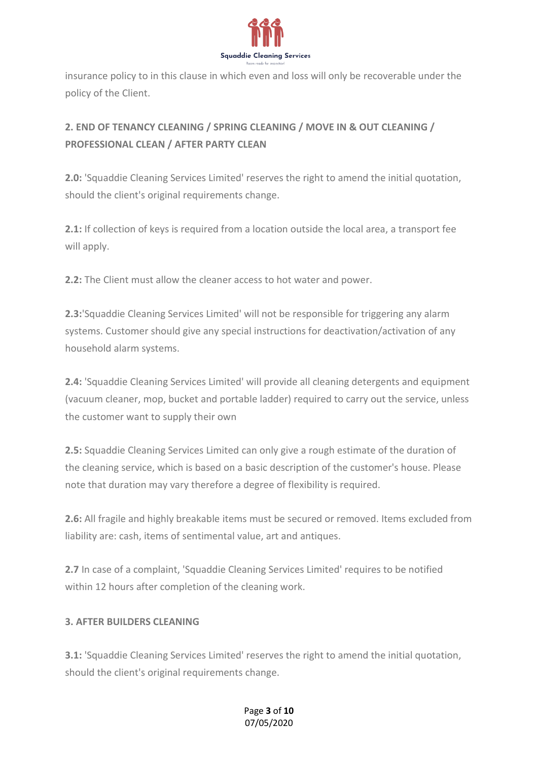

insurance policy to in this clause in which even and loss will only be recoverable under the policy of the Client.

# **2. END OF TENANCY CLEANING / SPRING CLEANING / MOVE IN & OUT CLEANING / PROFESSIONAL CLEAN / AFTER PARTY CLEAN**

**2.0:** 'Squaddie Cleaning Services Limited' reserves the right to amend the initial quotation, should the client's original requirements change.

**2.1:** If collection of keys is required from a location outside the local area, a transport fee will apply.

**2.2:** The Client must allow the cleaner access to hot water and power.

**2.3:**'Squaddie Cleaning Services Limited' will not be responsible for triggering any alarm systems. Customer should give any special instructions for deactivation/activation of any household alarm systems.

**2.4:** 'Squaddie Cleaning Services Limited' will provide all cleaning detergents and equipment (vacuum cleaner, mop, bucket and portable ladder) required to carry out the service, unless the customer want to supply their own

**2.5:** Squaddie Cleaning Services Limited can only give a rough estimate of the duration of the cleaning service, which is based on a basic description of the customer's house. Please note that duration may vary therefore a degree of flexibility is required.

**2.6:** All fragile and highly breakable items must be secured or removed. Items excluded from liability are: cash, items of sentimental value, art and antiques.

**2.7** In case of a complaint, 'Squaddie Cleaning Services Limited' requires to be notified within 12 hours after completion of the cleaning work.

## **3. AFTER BUILDERS CLEANING**

**3.1:** 'Squaddie Cleaning Services Limited' reserves the right to amend the initial quotation, should the client's original requirements change.

### Page **3** of **10** 07/05/2020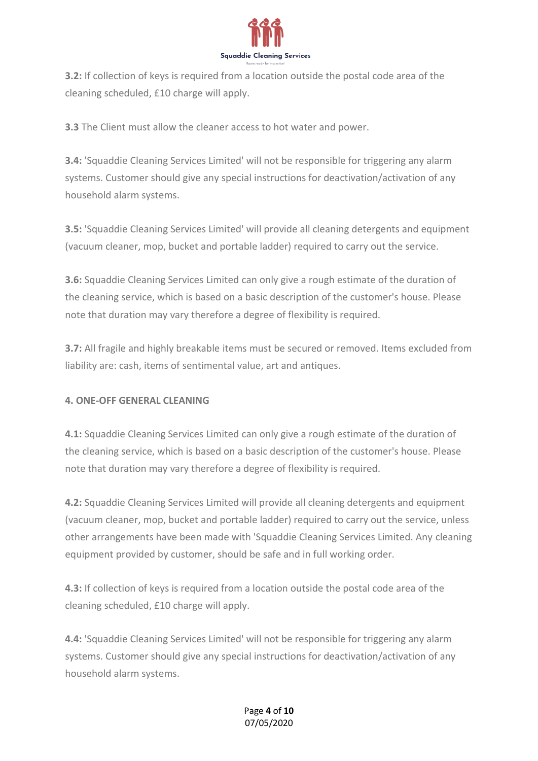

**3.2:** If collection of keys is required from a location outside the postal code area of the cleaning scheduled, £10 charge will apply.

**3.3** The Client must allow the cleaner access to hot water and power.

**3.4:** 'Squaddie Cleaning Services Limited' will not be responsible for triggering any alarm systems. Customer should give any special instructions for deactivation/activation of any household alarm systems.

**3.5:** 'Squaddie Cleaning Services Limited' will provide all cleaning detergents and equipment (vacuum cleaner, mop, bucket and portable ladder) required to carry out the service.

**3.6:** Squaddie Cleaning Services Limited can only give a rough estimate of the duration of the cleaning service, which is based on a basic description of the customer's house. Please note that duration may vary therefore a degree of flexibility is required.

**3.7:** All fragile and highly breakable items must be secured or removed. Items excluded from liability are: cash, items of sentimental value, art and antiques.

#### **4. ONE-OFF GENERAL CLEANING**

**4.1:** Squaddie Cleaning Services Limited can only give a rough estimate of the duration of the cleaning service, which is based on a basic description of the customer's house. Please note that duration may vary therefore a degree of flexibility is required.

**4.2:** Squaddie Cleaning Services Limited will provide all cleaning detergents and equipment (vacuum cleaner, mop, bucket and portable ladder) required to carry out the service, unless other arrangements have been made with 'Squaddie Cleaning Services Limited. Any cleaning equipment provided by customer, should be safe and in full working order.

**4.3:** If collection of keys is required from a location outside the postal code area of the cleaning scheduled, £10 charge will apply.

**4.4:** 'Squaddie Cleaning Services Limited' will not be responsible for triggering any alarm systems. Customer should give any special instructions for deactivation/activation of any household alarm systems.

#### Page **4** of **10** 07/05/2020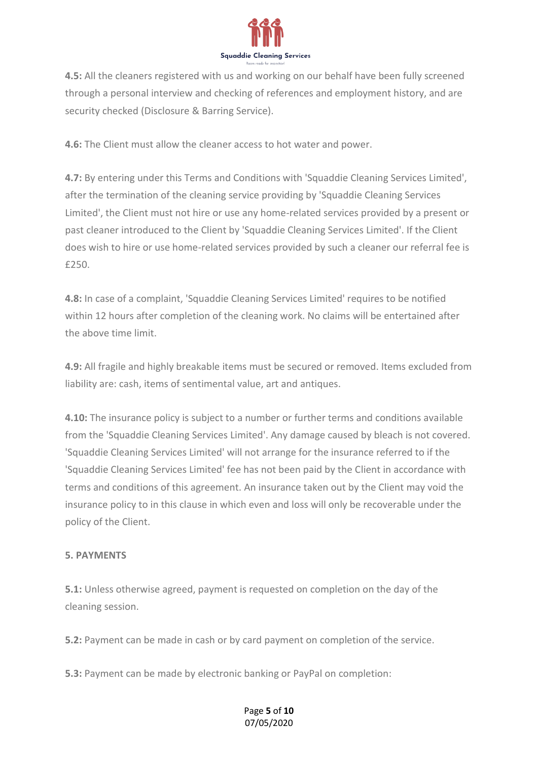

**4.5:** All the cleaners registered with us and working on our behalf have been fully screened through a personal interview and checking of references and employment history, and are security checked (Disclosure & Barring Service).

**4.6:** The Client must allow the cleaner access to hot water and power.

**4.7:** By entering under this Terms and Conditions with 'Squaddie Cleaning Services Limited', after the termination of the cleaning service providing by 'Squaddie Cleaning Services Limited', the Client must not hire or use any home-related services provided by a present or past cleaner introduced to the Client by 'Squaddie Cleaning Services Limited'. If the Client does wish to hire or use home-related services provided by such a cleaner our referral fee is £250.

**4.8:** In case of a complaint, 'Squaddie Cleaning Services Limited' requires to be notified within 12 hours after completion of the cleaning work. No claims will be entertained after the above time limit.

**4.9:** All fragile and highly breakable items must be secured or removed. Items excluded from liability are: cash, items of sentimental value, art and antiques.

**4.10:** The insurance policy is subject to a number or further terms and conditions available from the 'Squaddie Cleaning Services Limited'. Any damage caused by bleach is not covered. 'Squaddie Cleaning Services Limited' will not arrange for the insurance referred to if the 'Squaddie Cleaning Services Limited' fee has not been paid by the Client in accordance with terms and conditions of this agreement. An insurance taken out by the Client may void the insurance policy to in this clause in which even and loss will only be recoverable under the policy of the Client.

#### **5. PAYMENTS**

**5.1:** Unless otherwise agreed, payment is requested on completion on the day of the cleaning session.

**5.2:** Payment can be made in cash or by card payment on completion of the service.

**5.3:** Payment can be made by electronic banking or PayPal on completion:

#### Page **5** of **10** 07/05/2020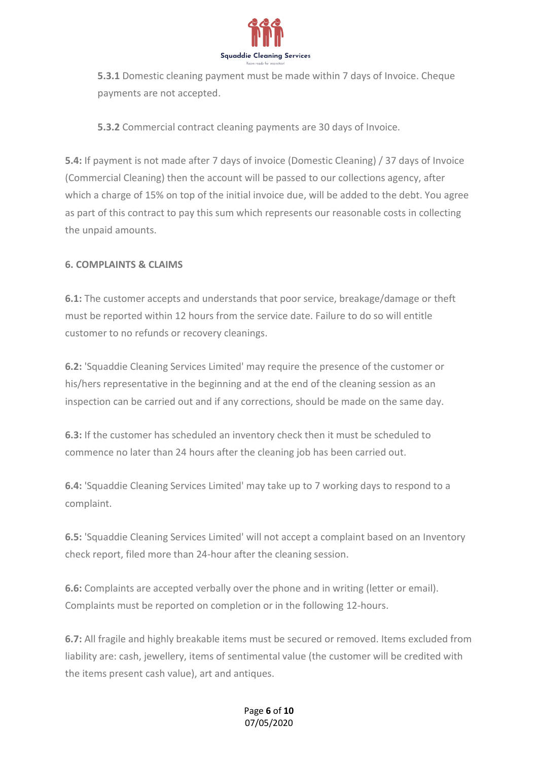

**5.3.1** Domestic cleaning payment must be made within 7 days of Invoice. Cheque payments are not accepted.

**5.3.2** Commercial contract cleaning payments are 30 days of Invoice.

**5.4:** If payment is not made after 7 days of invoice (Domestic Cleaning) / 37 days of Invoice (Commercial Cleaning) then the account will be passed to our collections agency, after which a charge of 15% on top of the initial invoice due, will be added to the debt. You agree as part of this contract to pay this sum which represents our reasonable costs in collecting the unpaid amounts.

### **6. COMPLAINTS & CLAIMS**

**6.1:** The customer accepts and understands that poor service, breakage/damage or theft must be reported within 12 hours from the service date. Failure to do so will entitle customer to no refunds or recovery cleanings.

**6.2:** 'Squaddie Cleaning Services Limited' may require the presence of the customer or his/hers representative in the beginning and at the end of the cleaning session as an inspection can be carried out and if any corrections, should be made on the same day.

**6.3:** If the customer has scheduled an inventory check then it must be scheduled to commence no later than 24 hours after the cleaning job has been carried out.

**6.4:** 'Squaddie Cleaning Services Limited' may take up to 7 working days to respond to a complaint.

**6.5:** 'Squaddie Cleaning Services Limited' will not accept a complaint based on an Inventory check report, filed more than 24-hour after the cleaning session.

**6.6:** Complaints are accepted verbally over the phone and in writing (letter or email). Complaints must be reported on completion or in the following 12-hours.

**6.7:** All fragile and highly breakable items must be secured or removed. Items excluded from liability are: cash, jewellery, items of sentimental value (the customer will be credited with the items present cash value), art and antiques.

#### Page **6** of **10** 07/05/2020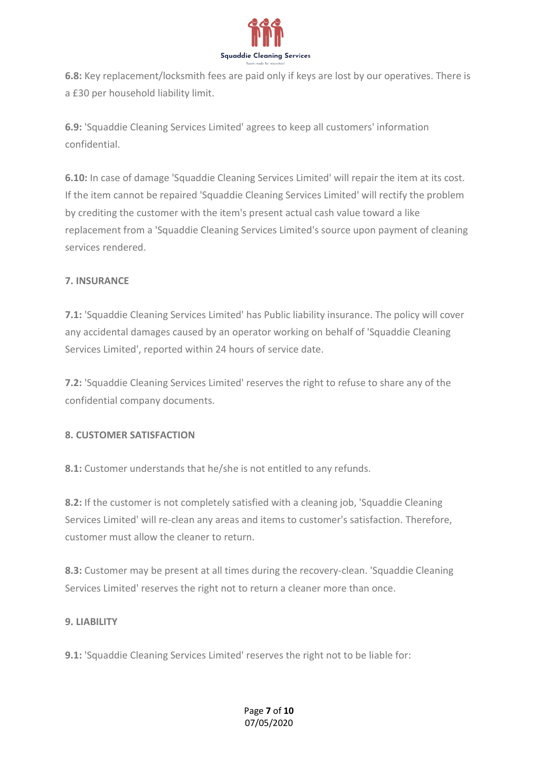

**6.8:** Key replacement/locksmith fees are paid only if keys are lost by our operatives. There is a £30 per household liability limit.

**6.9:** 'Squaddie Cleaning Services Limited' agrees to keep all customers' information confidential.

**6.10:** In case of damage 'Squaddie Cleaning Services Limited' will repair the item at its cost. If the item cannot be repaired 'Squaddie Cleaning Services Limited' will rectify the problem by crediting the customer with the item's present actual cash value toward a like replacement from a 'Squaddie Cleaning Services Limited's source upon payment of cleaning services rendered.

#### **7. INSURANCE**

**7.1:** 'Squaddie Cleaning Services Limited' has Public liability insurance. The policy will cover any accidental damages caused by an operator working on behalf of 'Squaddie Cleaning Services Limited', reported within 24 hours of service date.

**7.2:** 'Squaddie Cleaning Services Limited' reserves the right to refuse to share any of the confidential company documents.

#### **8. CUSTOMER SATISFACTION**

**8.1:** Customer understands that he/she is not entitled to any refunds.

**8.2:** If the customer is not completely satisfied with a cleaning job, 'Squaddie Cleaning Services Limited' will re-clean any areas and items to customer's satisfaction. Therefore, customer must allow the cleaner to return.

**8.3:** Customer may be present at all times during the recovery-clean. 'Squaddie Cleaning Services Limited' reserves the right not to return a cleaner more than once.

#### **9. LIABILITY**

**9.1:** 'Squaddie Cleaning Services Limited' reserves the right not to be liable for:

#### Page **7** of **10** 07/05/2020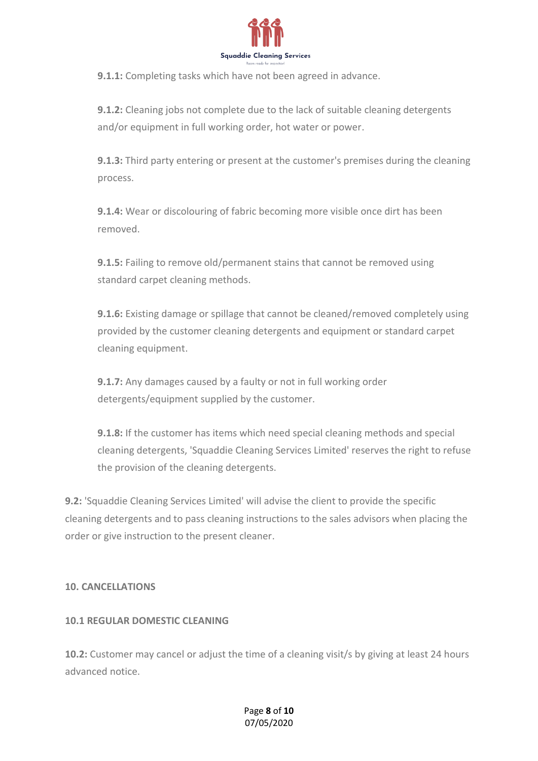

**9.1.1:** Completing tasks which have not been agreed in advance.

**9.1.2:** Cleaning jobs not complete due to the lack of suitable cleaning detergents and/or equipment in full working order, hot water or power.

**9.1.3:** Third party entering or present at the customer's premises during the cleaning process.

**9.1.4:** Wear or discolouring of fabric becoming more visible once dirt has been removed.

**9.1.5:** Failing to remove old/permanent stains that cannot be removed using standard carpet cleaning methods.

**9.1.6:** Existing damage or spillage that cannot be cleaned/removed completely using provided by the customer cleaning detergents and equipment or standard carpet cleaning equipment.

**9.1.7:** Any damages caused by a faulty or not in full working order detergents/equipment supplied by the customer.

**9.1.8:** If the customer has items which need special cleaning methods and special cleaning detergents, 'Squaddie Cleaning Services Limited' reserves the right to refuse the provision of the cleaning detergents.

**9.2:** 'Squaddie Cleaning Services Limited' will advise the client to provide the specific cleaning detergents and to pass cleaning instructions to the sales advisors when placing the order or give instruction to the present cleaner.

#### **10. CANCELLATIONS**

#### **10.1 REGULAR DOMESTIC CLEANING**

**10.2:** Customer may cancel or adjust the time of a cleaning visit/s by giving at least 24 hours advanced notice.

> Page **8** of **10** 07/05/2020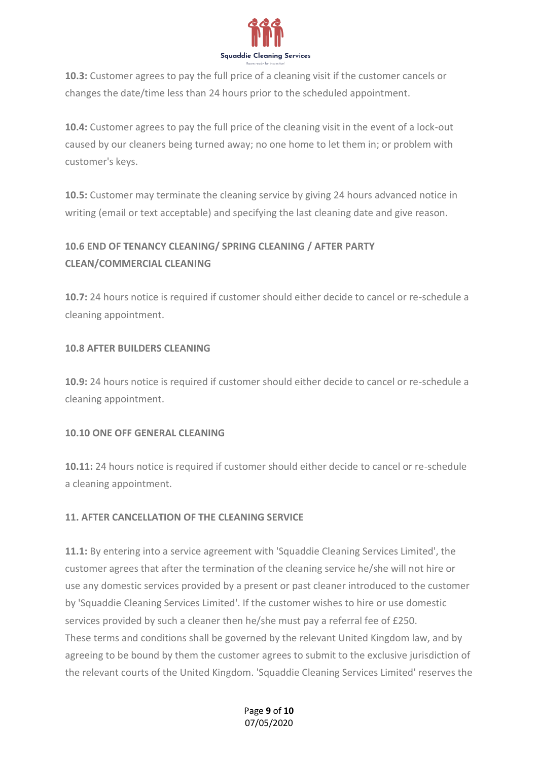

**10.3:** Customer agrees to pay the full price of a cleaning visit if the customer cancels or changes the date/time less than 24 hours prior to the scheduled appointment.

**10.4:** Customer agrees to pay the full price of the cleaning visit in the event of a lock-out caused by our cleaners being turned away; no one home to let them in; or problem with customer's keys.

**10.5:** Customer may terminate the cleaning service by giving 24 hours advanced notice in writing (email or text acceptable) and specifying the last cleaning date and give reason.

# **10.6 END OF TENANCY CLEANING/ SPRING CLEANING / AFTER PARTY CLEAN/COMMERCIAL CLEANING**

**10.7:** 24 hours notice is required if customer should either decide to cancel or re-schedule a cleaning appointment.

### **10.8 AFTER BUILDERS CLEANING**

**10.9:** 24 hours notice is required if customer should either decide to cancel or re-schedule a cleaning appointment.

#### **10.10 ONE OFF GENERAL CLEANING**

**10.11:** 24 hours notice is required if customer should either decide to cancel or re-schedule a cleaning appointment.

## **11. AFTER CANCELLATION OF THE CLEANING SERVICE**

**11.1:** By entering into a service agreement with 'Squaddie Cleaning Services Limited', the customer agrees that after the termination of the cleaning service he/she will not hire or use any domestic services provided by a present or past cleaner introduced to the customer by 'Squaddie Cleaning Services Limited'. If the customer wishes to hire or use domestic services provided by such a cleaner then he/she must pay a referral fee of £250. These terms and conditions shall be governed by the relevant United Kingdom law, and by agreeing to be bound by them the customer agrees to submit to the exclusive jurisdiction of the relevant courts of the United Kingdom. 'Squaddie Cleaning Services Limited' reserves the

#### Page **9** of **10** 07/05/2020